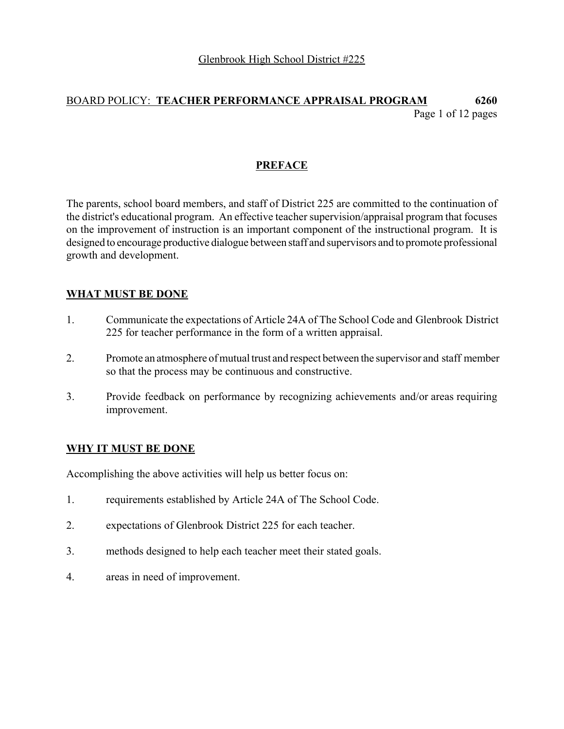## BOARD POLICY: **TEACHER PERFORMANCE APPRAISAL PROGRAM 6260** Page 1 of 12 pages

### **PREFACE**

The parents, school board members, and staff of District 225 are committed to the continuation of the district's educational program. An effective teacher supervision/appraisal program that focuses on the improvement of instruction is an important component of the instructional program. It is designed to encourage productive dialogue between staff and supervisors and to promote professional growth and development.

### **WHAT MUST BE DONE**

- 1. Communicate the expectations of Article 24A of The School Code and Glenbrook District 225 for teacher performance in the form of a written appraisal.
- 2. Promote an atmosphere of mutual trust and respect between the supervisor and staff member so that the process may be continuous and constructive.
- 3. Provide feedback on performance by recognizing achievements and/or areas requiring improvement.

#### **WHY IT MUST BE DONE**

Accomplishing the above activities will help us better focus on:

- 1. requirements established by Article 24A of The School Code.
- 2. expectations of Glenbrook District 225 for each teacher.
- 3. methods designed to help each teacher meet their stated goals.
- 4. areas in need of improvement.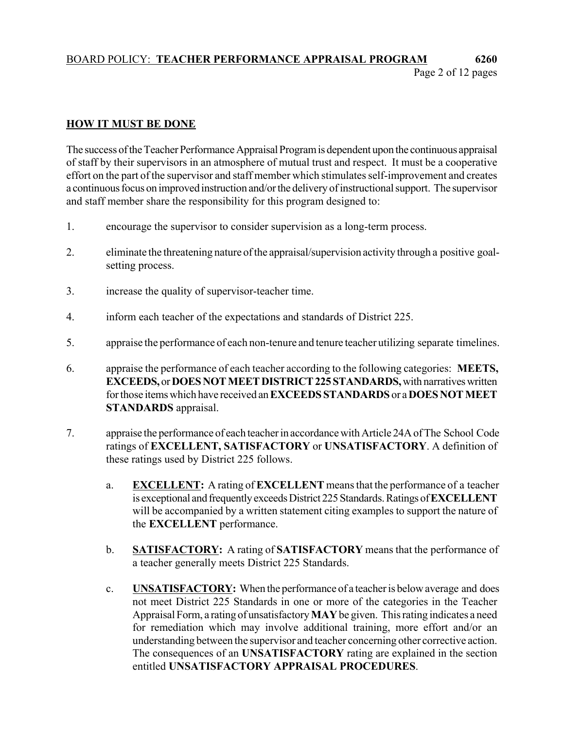## BOARD POLICY: **TEACHER PERFORMANCE APPRAISAL PROGRAM 6260** Page 2 of 12 pages

### **HOW IT MUST BE DONE**

The success of the Teacher Performance Appraisal Program is dependent upon the continuous appraisal of staff by their supervisors in an atmosphere of mutual trust and respect. It must be a cooperative effort on the part of the supervisor and staff member which stimulates self-improvement and creates a continuous focus on improved instruction and/or the delivery of instructional support. The supervisor and staff member share the responsibility for this program designed to:

- 1. encourage the supervisor to consider supervision as a long-term process.
- 2. eliminate the threatening nature of the appraisal/supervision activity through a positive goalsetting process.
- 3. increase the quality of supervisor-teacher time.
- 4. inform each teacher of the expectations and standards of District 225.
- 5. appraise the performance of each non-tenure and tenure teacher utilizing separate timelines.
- 6. appraise the performance of each teacher according to the following categories: **MEETS, EXCEEDS,** or **DOES NOT MEET DISTRICT 225 STANDARDS,** with narratives written for those items which have received an **EXCEEDS STANDARDS** or a **DOES NOT MEET STANDARDS** appraisal.
- 7. appraise the performance of each teacher in accordance with Article 24A of The School Code ratings of **EXCELLENT, SATISFACTORY** or **UNSATISFACTORY**. A definition of these ratings used by District 225 follows.
	- a. **EXCELLENT:** A rating of **EXCELLENT** means that the performance of a teacher is exceptional and frequently exceeds District 225 Standards. Ratings of **EXCELLENT** will be accompanied by a written statement citing examples to support the nature of the **EXCELLENT** performance.
	- b. **SATISFACTORY:** A rating of **SATISFACTORY** means that the performance of a teacher generally meets District 225 Standards.
	- c. **UNSATISFACTORY:** When the performance of a teacher is below average and does not meet District 225 Standards in one or more of the categories in the Teacher Appraisal Form, a rating of unsatisfactory **MAY** be given. This rating indicates a need for remediation which may involve additional training, more effort and/or an understanding between the supervisor and teacher concerning other corrective action. The consequences of an **UNSATISFACTORY** rating are explained in the section entitled **UNSATISFACTORY APPRAISAL PROCEDURES**.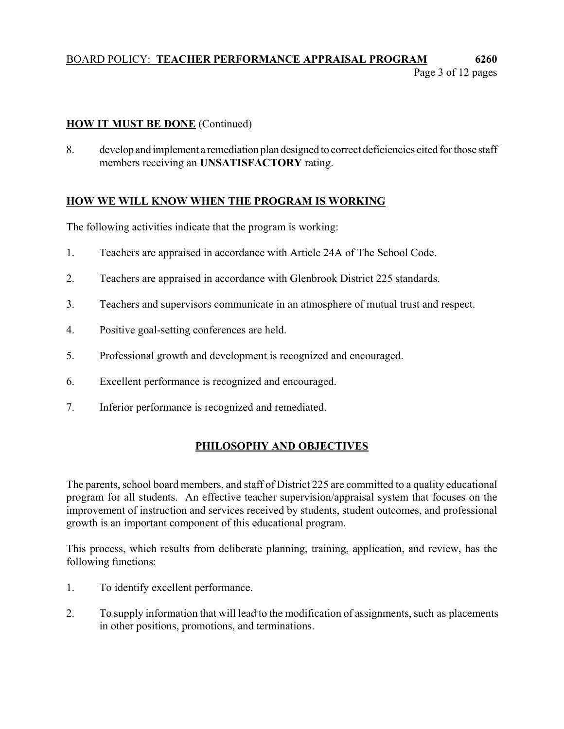## BOARD POLICY: **TEACHER PERFORMANCE APPRAISAL PROGRAM 6260** Page 3 of 12 pages

### **HOW IT MUST BE DONE** (Continued)

8. develop and implement a remediation plan designed to correct deficiencies cited for those staff members receiving an **UNSATISFACTORY** rating.

## **HOW WE WILL KNOW WHEN THE PROGRAM IS WORKING**

The following activities indicate that the program is working:

- 1. Teachers are appraised in accordance with Article 24A of The School Code.
- 2. Teachers are appraised in accordance with Glenbrook District 225 standards.
- 3. Teachers and supervisors communicate in an atmosphere of mutual trust and respect.
- 4. Positive goal-setting conferences are held.
- 5. Professional growth and development is recognized and encouraged.
- 6. Excellent performance is recognized and encouraged.
- 7. Inferior performance is recognized and remediated.

## **PHILOSOPHY AND OBJECTIVES**

The parents, school board members, and staff of District 225 are committed to a quality educational program for all students. An effective teacher supervision/appraisal system that focuses on the improvement of instruction and services received by students, student outcomes, and professional growth is an important component of this educational program.

This process, which results from deliberate planning, training, application, and review, has the following functions:

- 1. To identify excellent performance.
- 2. To supply information that will lead to the modification of assignments, such as placements in other positions, promotions, and terminations.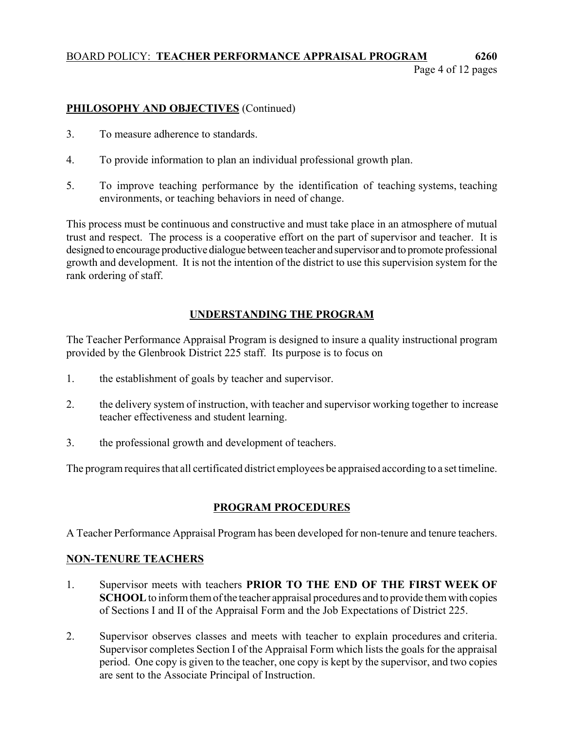### BOARD POLICY: **TEACHER PERFORMANCE APPRAISAL PROGRAM 6260** Page 4 of 12 pages

## **PHILOSOPHY AND OBJECTIVES** (Continued)

- 3. To measure adherence to standards.
- 4. To provide information to plan an individual professional growth plan.
- 5. To improve teaching performance by the identification of teaching systems, teaching environments, or teaching behaviors in need of change.

This process must be continuous and constructive and must take place in an atmosphere of mutual trust and respect. The process is a cooperative effort on the part of supervisor and teacher. It is designed to encourage productive dialogue between teacher and supervisor and to promote professional growth and development. It is not the intention of the district to use this supervision system for the rank ordering of staff.

## **UNDERSTANDING THE PROGRAM**

The Teacher Performance Appraisal Program is designed to insure a quality instructional program provided by the Glenbrook District 225 staff. Its purpose is to focus on

- 1. the establishment of goals by teacher and supervisor.
- 2. the delivery system of instruction, with teacher and supervisor working together to increase teacher effectiveness and student learning.
- 3. the professional growth and development of teachers.

The program requires that all certificated district employees be appraised according to a set timeline.

## **PROGRAM PROCEDURES**

A Teacher Performance Appraisal Program has been developed for non-tenure and tenure teachers.

### **NON-TENURE TEACHERS**

- 1. Supervisor meets with teachers **PRIOR TO THE END OF THE FIRST WEEK OF SCHOOL** to inform them of the teacher appraisal procedures and to provide them with copies of Sections I and II of the Appraisal Form and the Job Expectations of District 225.
- 2. Supervisor observes classes and meets with teacher to explain procedures and criteria. Supervisor completes Section I of the Appraisal Form which lists the goals for the appraisal period. One copy is given to the teacher, one copy is kept by the supervisor, and two copies are sent to the Associate Principal of Instruction.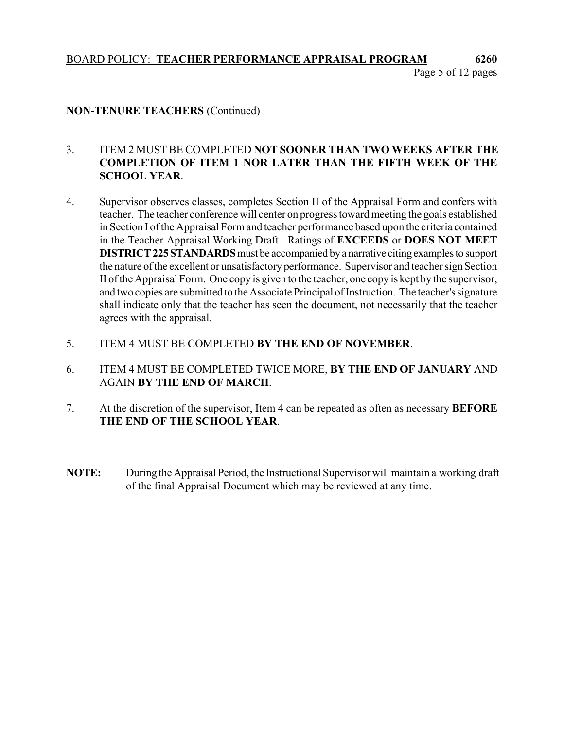## BOARD POLICY: **TEACHER PERFORMANCE APPRAISAL PROGRAM 6260** Page 5 of 12 pages

### **NON-TENURE TEACHERS** (Continued)

### 3. ITEM 2 MUST BE COMPLETED **NOT SOONER THAN TWO WEEKS AFTER THE COMPLETION OF ITEM 1 NOR LATER THAN THE FIFTH WEEK OF THE SCHOOL YEAR**.

- 4. Supervisor observes classes, completes Section II of the Appraisal Form and confers with teacher. The teacher conference will center on progress toward meeting the goals established in Section I of the Appraisal Form and teacher performance based upon the criteria contained in the Teacher Appraisal Working Draft. Ratings of **EXCEEDS** or **DOES NOT MEET DISTRICT 225 STANDARDS** must be accompanied by a narrative citing examples to support the nature of the excellent or unsatisfactory performance. Supervisor and teacher sign Section II of the Appraisal Form. One copy is given to the teacher, one copy is kept by the supervisor, and two copies are submitted to the Associate Principal of Instruction. The teacher's signature shall indicate only that the teacher has seen the document, not necessarily that the teacher agrees with the appraisal.
- 5. ITEM 4 MUST BE COMPLETED **BY THE END OF NOVEMBER**.
- 6. ITEM 4 MUST BE COMPLETED TWICE MORE, **BY THE END OF JANUARY** AND AGAIN **BY THE END OF MARCH**.
- 7. At the discretion of the supervisor, Item 4 can be repeated as often as necessary **BEFORE THE END OF THE SCHOOL YEAR**.
- **NOTE:** During the Appraisal Period, the Instructional Supervisor will maintain a working draft of the final Appraisal Document which may be reviewed at any time.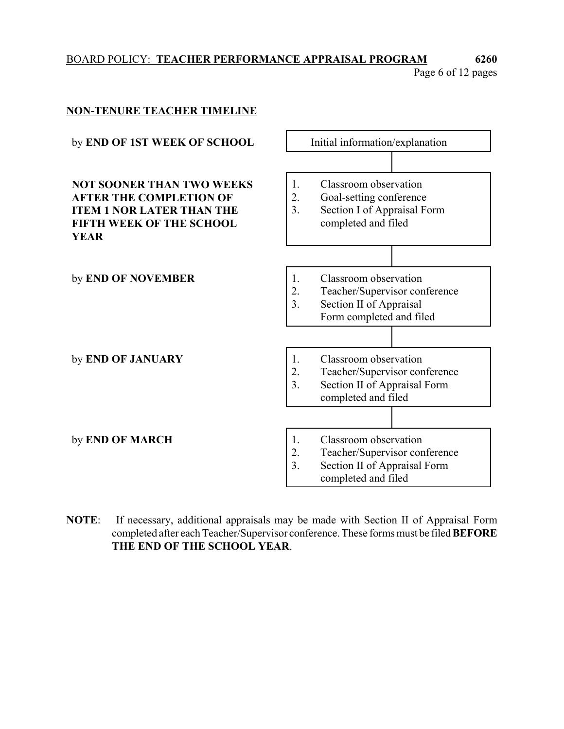# BOARD POLICY: **TEACHER PERFORMANCE APPRAISAL PROGRAM 6260**

Page 6 of 12 pages



**NOTE**: If necessary, additional appraisals may be made with Section II of Appraisal Form completed after each Teacher/Supervisor conference. These forms must be filed **BEFORE THE END OF THE SCHOOL YEAR**.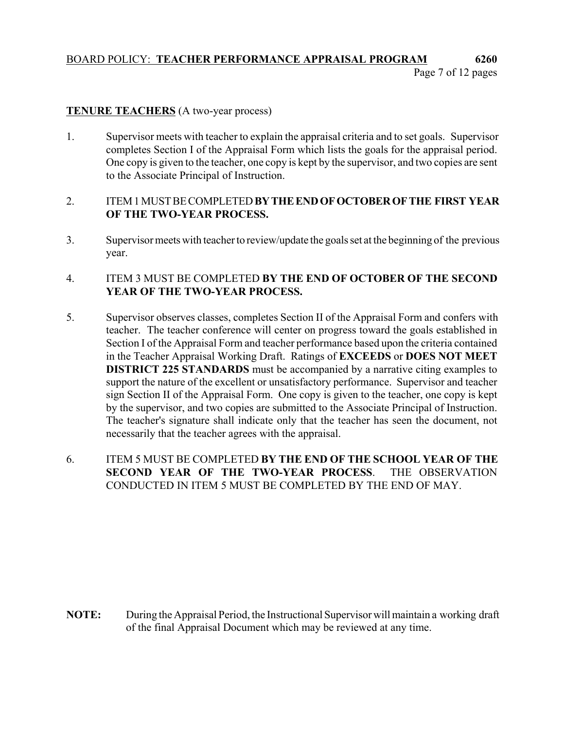## BOARD POLICY: **TEACHER PERFORMANCE APPRAISAL PROGRAM 6260** Page 7 of 12 pages

### **TENURE TEACHERS** (A two-year process)

1. Supervisor meets with teacher to explain the appraisal criteria and to set goals. Supervisor completes Section I of the Appraisal Form which lists the goals for the appraisal period. One copy is given to the teacher, one copy is kept by the supervisor, and two copies are sent to the Associate Principal of Instruction.

### 2. ITEM 1 MUST BE COMPLETED **BY THE END OF OCTOBER OF THE FIRST YEAR OF THE TWO-YEAR PROCESS.**

3. Supervisor meets with teacher to review/update the goals set at the beginning of the previous year.

### 4. ITEM 3 MUST BE COMPLETED **BY THE END OF OCTOBER OF THE SECOND YEAR OF THE TWO-YEAR PROCESS.**

- 5. Supervisor observes classes, completes Section II of the Appraisal Form and confers with teacher. The teacher conference will center on progress toward the goals established in Section I of the Appraisal Form and teacher performance based upon the criteria contained in the Teacher Appraisal Working Draft. Ratings of **EXCEEDS** or **DOES NOT MEET DISTRICT 225 STANDARDS** must be accompanied by a narrative citing examples to support the nature of the excellent or unsatisfactory performance. Supervisor and teacher sign Section II of the Appraisal Form. One copy is given to the teacher, one copy is kept by the supervisor, and two copies are submitted to the Associate Principal of Instruction. The teacher's signature shall indicate only that the teacher has seen the document, not necessarily that the teacher agrees with the appraisal.
- 6. ITEM 5 MUST BE COMPLETED **BY THE END OF THE SCHOOL YEAR OF THE SECOND YEAR OF THE TWO-YEAR PROCESS**. THE OBSERVATION CONDUCTED IN ITEM 5 MUST BE COMPLETED BY THE END OF MAY.

**NOTE:** During the Appraisal Period, the Instructional Supervisor will maintain a working draft of the final Appraisal Document which may be reviewed at any time.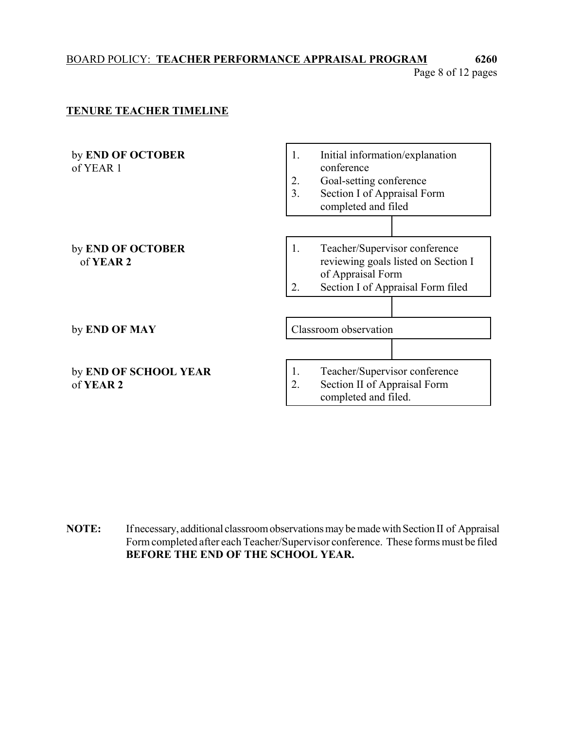## BOARD POLICY: **TEACHER PERFORMANCE APPRAISAL PROGRAM 6260**

Page 8 of 12 pages

### **TENURE TEACHER TIMELINE**



**NOTE:** If necessary, additional classroom observations may be made with Section II of Appraisal Form completed after each Teacher/Supervisor conference. These forms must be filed **BEFORE THE END OF THE SCHOOL YEAR.**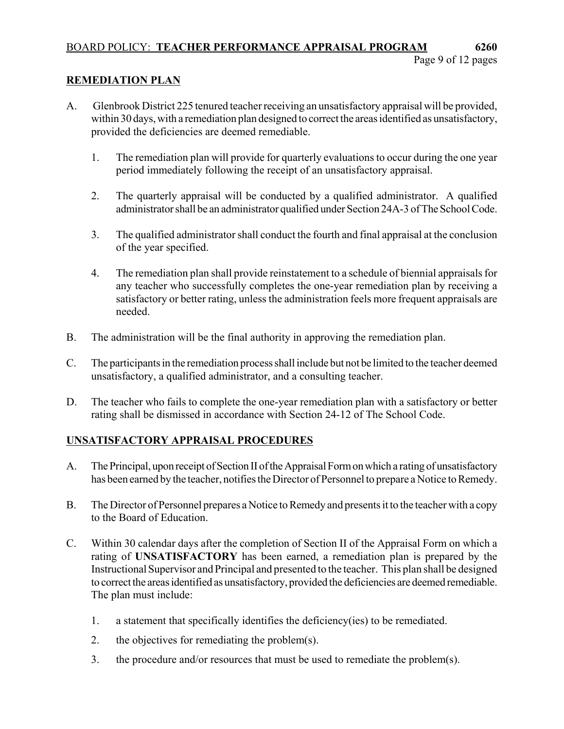## BOARD POLICY: **TEACHER PERFORMANCE APPRAISAL PROGRAM 6260**

## **REMEDIATION PLAN**

- A. Glenbrook District 225 tenured teacher receiving an unsatisfactory appraisal will be provided, within 30 days, with a remediation plan designed to correct the areas identified as unsatisfactory, provided the deficiencies are deemed remediable.
	- 1. The remediation plan will provide for quarterly evaluations to occur during the one year period immediately following the receipt of an unsatisfactory appraisal.
	- 2. The quarterly appraisal will be conducted by a qualified administrator. A qualified administrator shall be an administrator qualified under Section 24A-3 of The School Code.
	- 3. The qualified administrator shall conduct the fourth and final appraisal at the conclusion of the year specified.
	- 4. The remediation plan shall provide reinstatement to a schedule of biennial appraisals for any teacher who successfully completes the one-year remediation plan by receiving a satisfactory or better rating, unless the administration feels more frequent appraisals are needed.
- B. The administration will be the final authority in approving the remediation plan.
- C. The participants in the remediation process shall include but not be limited to the teacher deemed unsatisfactory, a qualified administrator, and a consulting teacher.
- D. The teacher who fails to complete the one-year remediation plan with a satisfactory or better rating shall be dismissed in accordance with Section 24-12 of The School Code.

## **UNSATISFACTORY APPRAISAL PROCEDURES**

- A. The Principal, upon receipt of Section II of the Appraisal Form on which a rating of unsatisfactory has been earned by the teacher, notifies the Director of Personnel to prepare a Notice to Remedy.
- B. The Director of Personnel prepares a Notice to Remedy and presents it to the teacher with a copy to the Board of Education.
- C. Within 30 calendar days after the completion of Section II of the Appraisal Form on which a rating of **UNSATISFACTORY** has been earned, a remediation plan is prepared by the Instructional Supervisor and Principal and presented to the teacher. This plan shall be designed to correct the areas identified as unsatisfactory, provided the deficiencies are deemed remediable. The plan must include:
	- 1. a statement that specifically identifies the deficiency(ies) to be remediated.
	- 2. the objectives for remediating the problem(s).
	- 3. the procedure and/or resources that must be used to remediate the problem(s).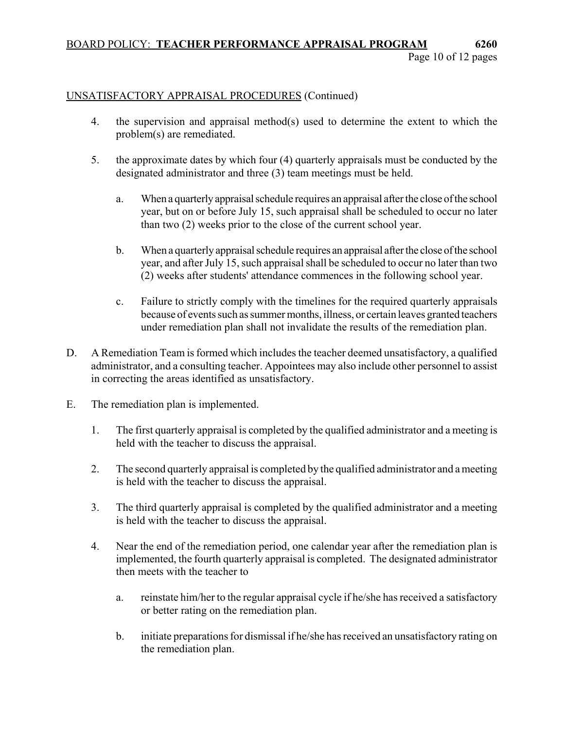### BOARD POLICY: **TEACHER PERFORMANCE APPRAISAL PROGRAM 6260** Page 10 of 12 pages

### UNSATISFACTORY APPRAISAL PROCEDURES (Continued)

- 4. the supervision and appraisal method(s) used to determine the extent to which the problem(s) are remediated.
- 5. the approximate dates by which four (4) quarterly appraisals must be conducted by the designated administrator and three (3) team meetings must be held.
	- a. When a quarterly appraisal schedule requires an appraisal after the close of the school year, but on or before July 15, such appraisal shall be scheduled to occur no later than two (2) weeks prior to the close of the current school year.
	- b. When a quarterly appraisal schedule requires an appraisal after the close of the school year, and after July 15, such appraisal shall be scheduled to occur no later than two (2) weeks after students' attendance commences in the following school year.
	- c. Failure to strictly comply with the timelines for the required quarterly appraisals because of events such as summer months, illness, or certain leaves granted teachers under remediation plan shall not invalidate the results of the remediation plan.
- D. A Remediation Team is formed which includes the teacher deemed unsatisfactory, a qualified administrator, and a consulting teacher. Appointees may also include other personnel to assist in correcting the areas identified as unsatisfactory.
- E. The remediation plan is implemented.
	- 1. The first quarterly appraisal is completed by the qualified administrator and a meeting is held with the teacher to discuss the appraisal.
	- 2. The second quarterly appraisal is completed by the qualified administrator and a meeting is held with the teacher to discuss the appraisal.
	- 3. The third quarterly appraisal is completed by the qualified administrator and a meeting is held with the teacher to discuss the appraisal.
	- 4. Near the end of the remediation period, one calendar year after the remediation plan is implemented, the fourth quarterly appraisal is completed. The designated administrator then meets with the teacher to
		- a. reinstate him/her to the regular appraisal cycle if he/she has received a satisfactory or better rating on the remediation plan.
		- b. initiate preparations for dismissal if he/she has received an unsatisfactory rating on the remediation plan.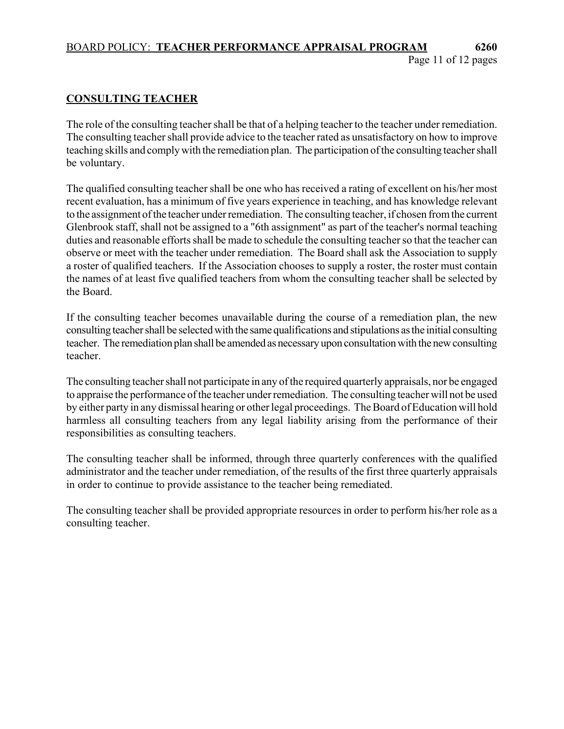### BOARD POLICY: **TEACHER PERFORMANCE APPRAISAL PROGRAM 6260** Page 11 of 12 pages

## **CONSULTING TEACHER**

The role of the consulting teacher shall be that of a helping teacher to the teacher under remediation. The consulting teacher shall provide advice to the teacher rated as unsatisfactory on how to improve teaching skills and comply with the remediation plan. The participation of the consulting teacher shall be voluntary.

The qualified consulting teacher shall be one who has received a rating of excellent on his/her most recent evaluation, has a minimum of five years experience in teaching, and has knowledge relevant to the assignment of the teacher under remediation. The consulting teacher, if chosen from the current Glenbrook staff, shall not be assigned to a "6th assignment" as part of the teacher's normal teaching duties and reasonable efforts shall be made to schedule the consulting teacher so that the teacher can observe or meet with the teacher under remediation. The Board shall ask the Association to supply a roster of qualified teachers. If the Association chooses to supply a roster, the roster must contain the names of at least five qualified teachers from whom the consulting teacher shall be selected by the Board.

If the consulting teacher becomes unavailable during the course of a remediation plan, the new consulting teacher shall be selected with the same qualifications and stipulations as the initial consulting teacher. The remediation plan shall be amended as necessary upon consultation with the new consulting teacher.

The consulting teacher shall not participate in any of the required quarterly appraisals, nor be engaged to appraise the performance of the teacher under remediation. The consulting teacher will not be used by either party in any dismissal hearing or other legal proceedings. The Board of Education will hold harmless all consulting teachers from any legal liability arising from the performance of their responsibilities as consulting teachers.

The consulting teacher shall be informed, through three quarterly conferences with the qualified administrator and the teacher under remediation, of the results of the first three quarterly appraisals in order to continue to provide assistance to the teacher being remediated.

The consulting teacher shall be provided appropriate resources in order to perform his/her role as a consulting teacher.